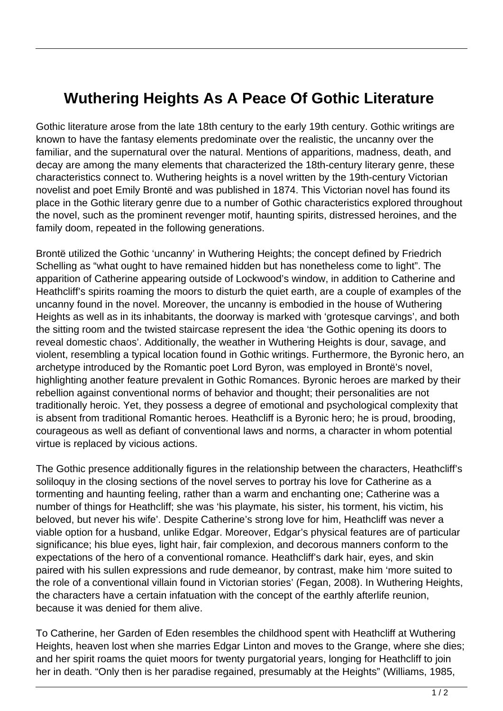## **Wuthering Heights As A Peace Of Gothic Literature**

Gothic literature arose from the late 18th century to the early 19th century. Gothic writings are known to have the fantasy elements predominate over the realistic, the uncanny over the familiar, and the supernatural over the natural. Mentions of apparitions, madness, death, and decay are among the many elements that characterized the 18th-century literary genre, these characteristics connect to. Wuthering heights is a novel written by the 19th-century Victorian novelist and poet Emily Brontë and was published in 1874. This Victorian novel has found its place in the Gothic literary genre due to a number of Gothic characteristics explored throughout the novel, such as the prominent revenger motif, haunting spirits, distressed heroines, and the family doom, repeated in the following generations.

Brontë utilized the Gothic 'uncanny' in Wuthering Heights; the concept defined by Friedrich Schelling as "what ought to have remained hidden but has nonetheless come to light". The apparition of Catherine appearing outside of Lockwood's window, in addition to Catherine and Heathcliff's spirits roaming the moors to disturb the quiet earth, are a couple of examples of the uncanny found in the novel. Moreover, the uncanny is embodied in the house of Wuthering Heights as well as in its inhabitants, the doorway is marked with 'grotesque carvings', and both the sitting room and the twisted staircase represent the idea 'the Gothic opening its doors to reveal domestic chaos'. Additionally, the weather in Wuthering Heights is dour, savage, and violent, resembling a typical location found in Gothic writings. Furthermore, the Byronic hero, an archetype introduced by the Romantic poet Lord Byron, was employed in Brontë's novel, highlighting another feature prevalent in Gothic Romances. Byronic heroes are marked by their rebellion against conventional norms of behavior and thought; their personalities are not traditionally heroic. Yet, they possess a degree of emotional and psychological complexity that is absent from traditional Romantic heroes. Heathcliff is a Byronic hero; he is proud, brooding, courageous as well as defiant of conventional laws and norms, a character in whom potential virtue is replaced by vicious actions.

The Gothic presence additionally figures in the relationship between the characters, Heathcliff's soliloquy in the closing sections of the novel serves to portray his love for Catherine as a tormenting and haunting feeling, rather than a warm and enchanting one; Catherine was a number of things for Heathcliff; she was 'his playmate, his sister, his torment, his victim, his beloved, but never his wife'. Despite Catherine's strong love for him, Heathcliff was never a viable option for a husband, unlike Edgar. Moreover, Edgar's physical features are of particular significance; his blue eyes, light hair, fair complexion, and decorous manners conform to the expectations of the hero of a conventional romance. Heathcliff's dark hair, eyes, and skin paired with his sullen expressions and rude demeanor, by contrast, make him 'more suited to the role of a conventional villain found in Victorian stories' (Fegan, 2008). In Wuthering Heights, the characters have a certain infatuation with the concept of the earthly afterlife reunion, because it was denied for them alive.

To Catherine, her Garden of Eden resembles the childhood spent with Heathcliff at Wuthering Heights, heaven lost when she marries Edgar Linton and moves to the Grange, where she dies; and her spirit roams the quiet moors for twenty purgatorial years, longing for Heathcliff to join her in death. "Only then is her paradise regained, presumably at the Heights" (Williams, 1985,